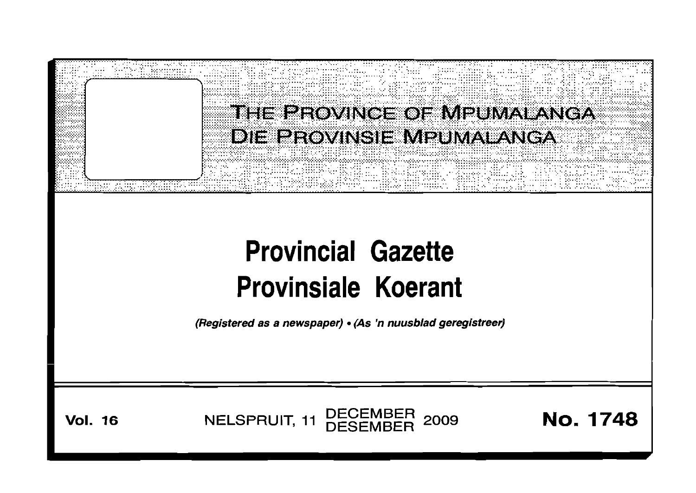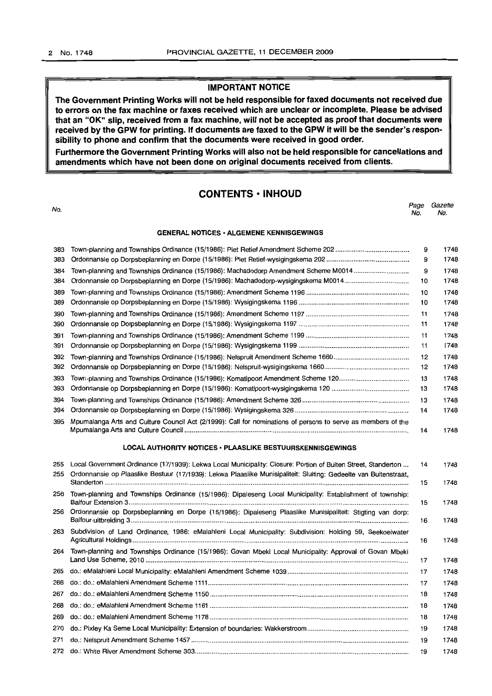#### **IMPORTANT NOTICE**

**The Government Printing Works will not be held responsible for faxed documents not received due to errors on the fax machine or faxes received which are unclear or incomplete. Please be advised that an "OK" Slip, received from a fax machine, will not be accepted as proof that documents were received by the GPW for printing. If documents are faxed to the GPW it will be the sender's responsibility to phone and confirm that the documents were received in good order.**

**Furthermore the Government Printing Works will also not be held responsible for cancellations and amendments which have not been done on original documents received from clients.**

#### **CONTENTS • INHOUD**

No. Page Gazette No. No. **GENERAL NOTICES· ALGEMENE KENNISGEWINGS** 383 Town-planning and Townships Ordinance (15/1986): Piet Retief Amendment Scheme 202 . 383 Ordonnansie op Dorpsbeplanning en Dorpe (15/1986): Piet Retief-wysigingskema 202 . 384 Town-planning and Townships Ordinance (15/1986): Machadodorp Amendment Scheme M0014 . 384 Ordonnansie op Dorpsbeplanning en Dorpe (15/1986): Machadodorp-wysigingskema M0014 .. 389 Town-planning and Townships Ordinance (15/1986): Amendment Scheme 1196 . 389 Ordonnansie op Dorpsbeplanning en Dorpe (15/1986): Wysigingskema 1196 .. 390 Town-planning and Townships Ordinance (15/1986): Amendment Scheme 1197 .. 390 Ordonnansie op Dorpsbeplanning en Dorpe (15/1986): Wysigingskema 1197 . 391 Town-planning and Townships Ordinance (15/1986): Amendment Scheme 1199 .. 391 Ordonnansie op Dorpsbeplanning en Dorpe (15/1986): Wysigingskema 1199 . 392 Town-planning and Townships Ordinance (15/1986): Nelspruit Amendment Scheme 1660 . 392 Ordonnansie op Dorpsbeplanning en Dorpe (15/1986): Nelspruit-wysigingskema 1660 . 393 Town-planning and Townships Ordinance (15/1986): Komatipoort Amendment Scheme 120 . 393 Ordonnansie op Dorpsbeplanning en Dorpe (15/1986): Komatipoort-wysigingskema 120 .. 394 Town-planning and Townships Ordinance (15/1986): Amendment Scheme 326 .. 394 Ordonnansie op Dorpsbeplanning en Dorpe (15/1986): Wysigingskema 326 . 395 Mpumalanga Arts and Culture Council Act (2/1999): Call for nominations of persons to serve as members of the Mpumalanga Arts and Culture Council . **LOCAL AUTHORITY NOTICES· PLAASLIKE BESTUURSKENNISGEWINGS** 255 Local Government Ordinance (17/1939): Lekwa Local Municipality: Closure: Portion of Buiten Street, Standerton ... 255 Ordonnansie op Plaaslike Bestuur (17/1939): Lekwa Plaaslike Munisipaliteit: Sluiting: Gedeelte van Buitenstraat, Standerton . 256 Town-planning and Townships Ordinance (15/1986): Dipaleseng Local Municipality: Establishment of township: Balfour Extension 3 . 256 Ordonnansie op Dorpsbeplanning en Dorpe (15/1986): Dipaleseng Plaaslike Munisipaliteit: Stigting van dorp: Balfour-uitbreiding 3 . 263 Subdivision of Land Ordinance, 1986: eMalahleni Local Municipality: Subdivision: Holding 59, Seekoeiwater Agricultural Holdings . 264 Town-planning and Townships Ordinance (15/1986): Govan Mbeki Local Municipality: Approval of Govan Mbeki Land Use Scheme, 2010 . 265 do.: eMalahleni Local Municipality: eMalahleni Amendment Scheme 1039 . 266 do.: do.: eMalahleni Amendment Scheme 1111 .. 267 do.: do.: eMalahleni Amendment Scheme 1150 . 268 do.: do.: eMalahleni Amendment Scheme 1161 . 269 do.: do.: eMalahleni Amendment Scheme 1178 . 270 do.: Pixley Ka Seme Local Municipality: Extension of boundaries: Wakkerstroom . 271 do.: Nelspruit Amendment Scheme 1457 . 272 do.: White River Amendment Scheme 303 . 9 1748 9 1748 9 1748 10 1748 10 1748 10 1748 11 1748 11 1748 11 1748 11 1748 12 1748 12 1748 13 1748 13 1748 13 1748 14 1748 14 1748 14 1748 15 1748 15 1748 16 1748 16 1748 17 1748 17 1748 17 1748 18 1748 18 1748 18 1748 19 1748 19 1748 19 1748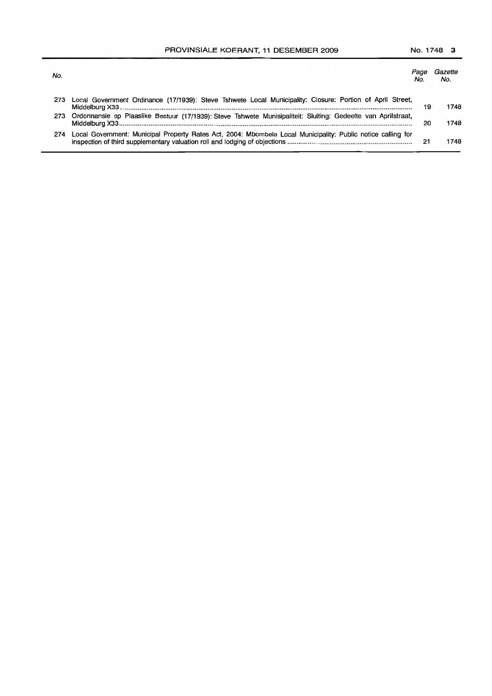PROVINSIALE KOERANT, 11 DESEMBER 2009 No. 1748 3

| No.  |                                                                                                               | Page<br>No. | Gazette<br>No. |
|------|---------------------------------------------------------------------------------------------------------------|-------------|----------------|
| 273  | Local Government Ordinance (17/1939): Steve Tshwete Local Municipality: Closure: Portion of April Street,     | 19          | 1748           |
| 273. | Ordonnansie op Plaaslike Bestuur (17/1939): Steve Tshwete Munisipaliteit: Sluiting: Gedeelte van Aprilstraat, | 20          | 1748           |
| 274  | Local Government: Municipal Property Rates Act, 2004: Mbombela Local Municipality: Public notice calling for  | 21          | 1748           |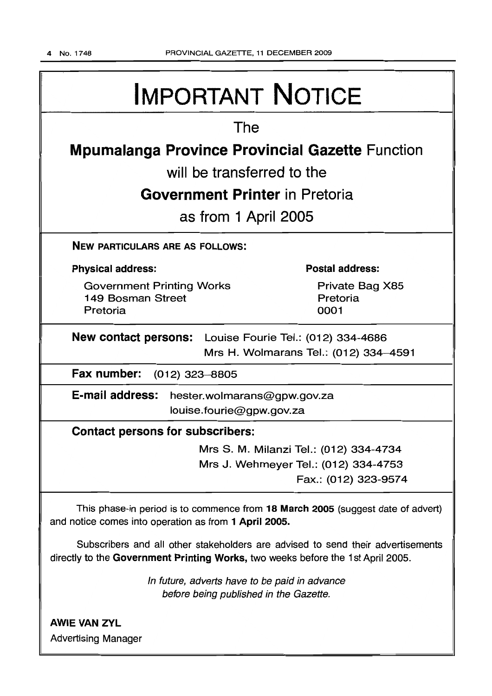# IMPORTANT NOTICE

# The

# **Mpumalanga Province Provincial Gazette** Function

will be transferred to the

# **Government Printer** in Pretoria

as from 1 April 2005

NEW PARTICULARS ARE AS FOLLOWS:

## Physical address:

Government Printing Works 149 Bosman Street Pretoria

Postal address:

Private Bag X85 Pretoria 0001

New contact persons: Louise Fourie Tel.: (012) 334-4686 Mrs H. Wolmarans Tel.: (012) 334-4591

Fax number: (012) 323-8805

E-mail address: hester.wolmarans@gpw.gov.za louise.fourie@gpw.gov.za

# Contact persons for subscribers:

Mrs S. M. Milanzi Tel.: (012) 334-4734 Mrs J. Wehmeyer Tel.: (012) 334-4753 Fax.: (012) 323-9574

This phase-in period is to commence from 18 March 2005 (suggest date of advert) and notice comes into operation as from 1 April 2005.

Subscribers and all other stakeholders are advised to send their advertisements directly to the Government Printing Works, two weeks before the 1st April 2005.

> In future, adverts have to be paid in advance before being published in the Gazette.

**AWIE VAN ZYL** Advertising Manager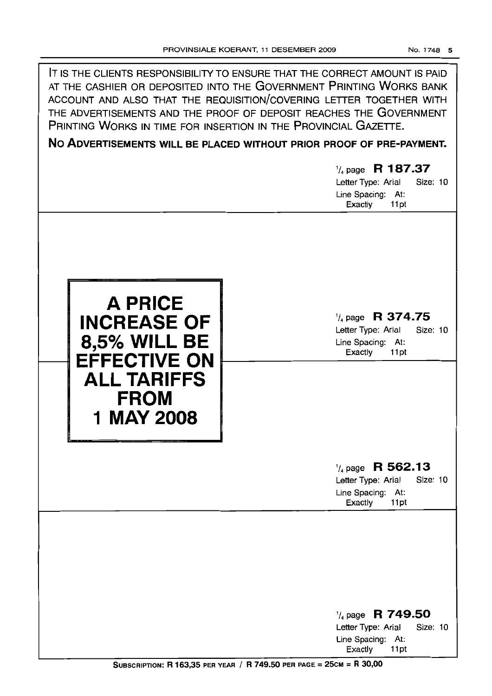



'/4 page **R 374.75**

Letter Type: Arial Size: 10 Line Spacing: At:<br>Exactly 11 pt Exactly

# '/4 page **R 562.13**

Letter Type: Arial Size: 10 Line Spacing: At:<br>Exactly 11pt Exactly

'/4 page **R 749.50** Letter Type: Arial Size: 10 Line Spacing: At:<br>Exactly 11pt Exactly

SUBSCRIPTION: R 163,35 PER YEAR / R 749.50 PER PAGE = 25CM = R 30,00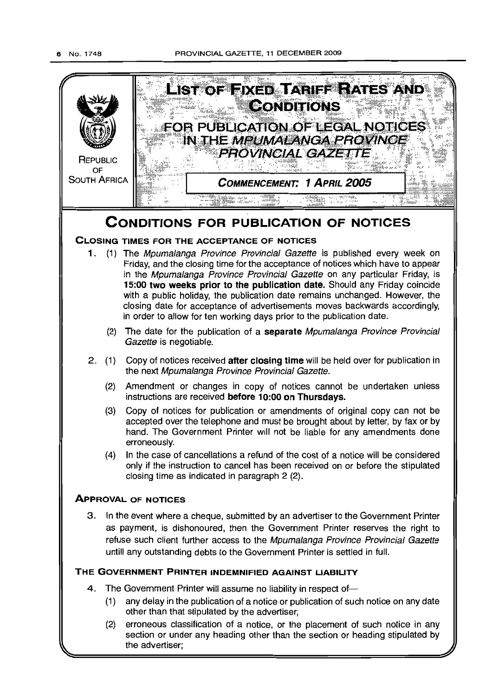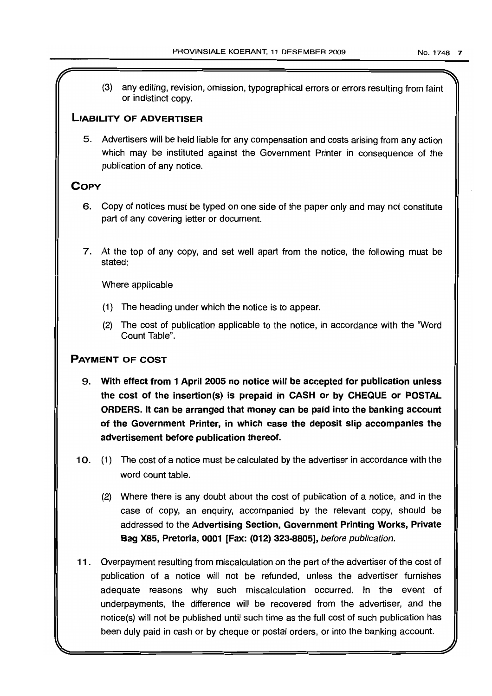(3) any editing, revision, omission, typographical errors or errors resulting from faint or indistinct copy.

## LIABILITY OF ADVERTISER

5. Advertisers will be held liable for any compensation and costs arising from any action which may be instituted against the Government Printer in consequence of the publication of any notice.

# **COPY**

- 6. Copy of notices must be typed on one side of the paper only and may not constitute part of any covering letter or document.
- 7. At the top of any copy, and set well apart from the notice, the following must be stated:

Where applicable

- (1) The heading under which the notice is to appear.
- (2) The cost of publication applicable to the notice, in accordance with the 'Word Count Table",

# PAYMENT OF COST

- 9. With effect from 1 April 2005 no notice will be accepted for publication unless the cost of the insertion(s) is prepaid in CASH or by CHEQUE or POSTAL ORDERS. It can be arranged that money can be paid into the banking account of the Government Printer, in which case the deposit slip accompanies the advertisement before publication thereof.
- 10. (1) The cost of a notice must be calculated by the advertiser in accordance with the word count table.
	- (2) Where there is any doubt about the cost of publication of a notice, and in the case of copy, an enquiry, accompanied by the relevant copy, should be addressed to the Advertising Section, Government Printing Works, Private Bag X85, Pretoria, 0001 [Fax: (012) 323-8805], before publication.
- 11 . Overpayment resulting from miscalculation on the part of the advertiser of the cost of publication of a notice will not be refunded, unless the advertiser furnishes adequate reasons why such miscalculation occurred. In the event of underpayments, the difference will be recovered from the advertiser, and the notice(s) will not be published until such time as the full cost of such publication has been duly paid in cash or by cheque or postal orders, or into the banking account.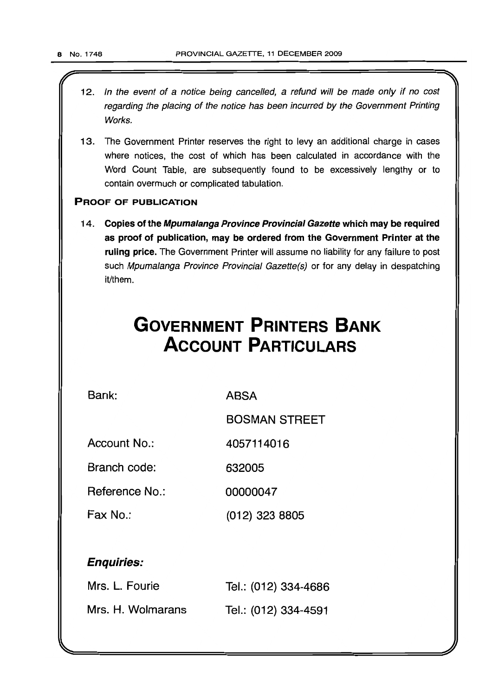- 12. In the event of a notice being cancelled, a refund will be made only if no cost regarding the placing of the notice has been incurred by the Government Printing Works.
- 13. The Government Printer reserves the right to levy an additional charge in cases where notices, the cost of which has been calculated in accordance with the Word Count Table, are subsequently found to be excessively lengthy or to contain overmuch or complicated tabulation.

### PROOF OF PUBLICATION

14. Copies of the Mpumalanga Province Provincial Gazette which may be required as proof of publication, may be ordered from the Government Printer at the ruling price. The Government Printer will assume no liability for any failure to post such Mpumalanga Province Provincial Gazette(s) or for any delay in despatching it/them.

# **GOVERNMENT PRINTERS BANK ACCOUNT PARTICULARS**

Bank: ABSA

BOSMAN STREET

Account No.: 4057114016

Branch code: 632005

Reference No.: 00000047

Fax No.: (012) 323 8805

Enquiries:

| Mrs. L. Fourie    | Tel.: (012) 334-4686 |
|-------------------|----------------------|
| Mrs. H. Wolmarans | Tel.: (012) 334-4591 |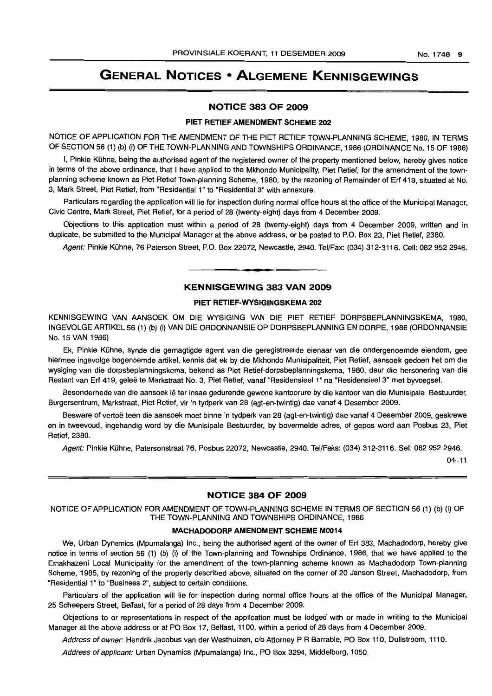# **GENERAL NOTICES • ALGEMENE KENNISGEWINGS**

#### **NOTICE 383 OF 2009**

#### **PIET RETIEF AMENDMENT SCHEME 202**

NOTICE OF APPLICATION FOR THE AMENDMENT OF THE PIET RETIEF TOWN-PLANNING SCHEME, 1980, IN TERMS OF SECTION 56 (1) (b) (i) OF THE TOWN-PLANNING AND TOWNSHIPS ORDINANCE, 1986 (ORDINANCE No. 15 OF 1986)

I, Pinkie Kühne, being the authorised agent of the registered owner of the property mentioned below, hereby gives notice in terms of the above ordinance, that I have applied to the Mkhondo Municipality, Piet Retief, for the amendment of the townplanning scheme known as Piet Retief Town-planning Scheme, 1980, by the rezoning of Remainder of Erf 419, situated at No. 3, Mark Street, Piet Retief, from "Residential 1" to "Residential 3" with annexure.

Particulars regarding the application will lie for inspection during normal office hours at the office of the Municipal Manager, Civic Centre, Mark Street, Piet Retief, for a period of 28 (twenty-eight) days from 4 December 2009.

Objections to this application must within a period of 28 (twenty-eight) days from 4 December 2009, written and in duplicate, be submitted to the Municipal Manager at the above address, or be posted to P.O. Box 23, Piet Retief, 2380.

Agent: Pinkie Kühne, 76 Paterson Street, P.O. Box 22072, Newcastle, 2940. Tel/Fax: (034) 312-3116. Cell: 082 952 2946.

#### **KENNISGEWING 383 VAN 2009**

**• •**

#### **PIET RETIEF-WYSIGINGSKEMA 202**

KENNISGEWING VAN AANSOEK OM DIE WYSIGING VAN DIE PIET RETIEF DORPSBEPLANNINGSKEMA, 1980, INGEVOLGE ARTIKEL 56 (1) (b) (i) VAN DIE ORDONNANSIE OP DORPSBEPLANNING EN DORPE, 1986 (ORDONNANSIE No. 15 VAN 1986)

Ek, Pinkie Kühne, synde die gemagtigde agent van die geregistreerde eienaar van die ondergenoemde eiendom, gee hiermee ingevolge bogenoemde artikel, kennis dat ek by die Mkhondo Munisipaliteit, Piet Retief, aansoek gedoen het om die wysiging van die dorpsbeplanningskema, bekend as Piet Retief-dorpsbeplanningskema, 1980, deur die hersonering van die Restant van Erf 419, gelee te Markstraat No.3, Piet Retief, vanaf "Residensieel 1" na "Residensieel 3" met byvoegsel.

Besonderhede van die aansoek lê ter insae gedurende gewone kantoorure by die kantoor van die Munisipale Bestuurder, Burgersentrum, Markstraat, Piet Retief, vir 'n tydperk van 28 (agt-en-twintig) dae vanaf 4 Desember 2009.

Besware of vertoë teen die aansoek moet binne 'n tydperk van 28 (agt-en-twintig) dae vanaf 4 Desember 2009, geskrewe en in tweevoud, ingehandig word by die Munisipale Bestuurder, by bovermelde adres, of gepos word aan Posbus 23, Piet Retief, 2380.

Agent: Pinkie Kühne, Patersonstraat 76, Posbus 22072, Newcastle, 2940. Tel/Faks: (034) 312-3116. Sel: 082 952 2946.

04-11

#### **NOTICE 384 OF 2009**

NOTICE OF APPLICATION FOR AMENDMENT OF TOWN-PLANNING SCHEME IN TERMS OF SECTION 56 (1) (b) (i) OF THE TOWN-PLANNING AND TOWNSHIPS ORDINANCE, 1986

#### **MACHADODORP AMENDMENT SCHEME M0014**

We, Urban Dynamics (Mpumalanga) Inc., being the authorised agent of the owner of Erf 383, Machadodorp, hereby give notice in terms of section 56 (1) (b) (i) of the Town-planning and Townships Ordinance, 1986, that we have applied to the Emakhazeni Local Municipality for the amendment of the town-planning scheme known as Machadodorp Town-planning Scheme, 1985, by rezoning of the property described above, situated on the corner of 20 Janson Street, Machadodorp, from "Residential 1"to "Business 2", subject to certain conditions.

Particulars of the application will lie for inspection during normal office hours at the office of the Municipal Manager, 25 Scheepers Street, Belfast, for a period of 28 days from 4 December 2009.

Objections to or representations in respect of the application must be lodged with or made in writing to the Municipal Manager at the above address or at PO Box 17, Belfast, 1100, within a period of 28 days from 4 December 2009.

Address of owner: Hendrik Jacobus van der Westhuizen, c/o Attorney P R Barrable, PO Box 110, Dullstroom, 1110.

Address of applicant: Urban Dynamics (Mpumalanga) Inc., PO Box 3294, Middelburg, 1050.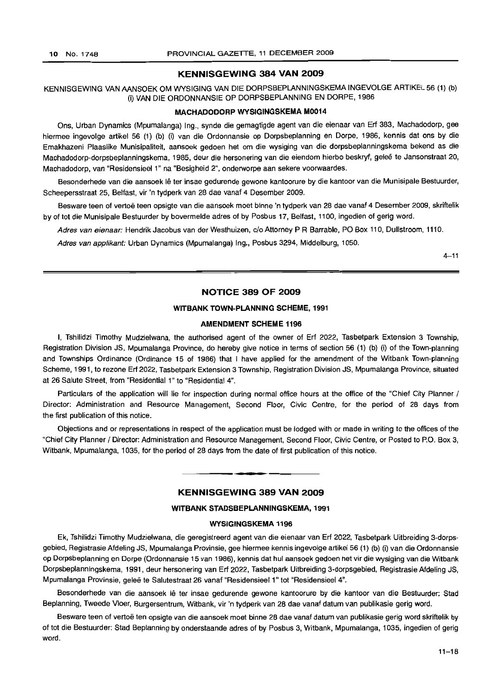#### **KENNISGEWING 384 VAN 2009**

KENNISGEWING VAN AANSOEK OM WYSIGING VAN DIE DORPSBEPLANNINGSKEMA INGEVOLGE ARTIKEL 56 (1) (b) (i) VAN DIE ORDONNANSIE OP DORPSBEPLANNING EN DORPE, 1986

#### **MACHADODORP WYSIGINGSKEMA M0014**

Ons, Urban Dynamics (Mpumalanga) Ing., synde die gemagtigde agent van die eienaar van Erf 383, Machadodorp, gee hiermee ingevolge artikel 56 (1) (b) (i) van die Ordonnansie op Dorpsbeplanning en Dorpe, 1986, kennis dat ons by die Emakhazeni Plaaslike Munisipaliteit, aansoek gedoen het om die wysiging van die dorpsbeplanningskema bekend as die Machadodorp-dorpsbeplanningskema, 1985, deur die hersonering van die eiendom hierbo beskryf, geleë te Jansonstraat 20, Machadodorp, van "ResidensieeI1" na "Besigheid 2", onderworpe aan sekere voorwaardes.

Besonderhede van die aansoek lê ter insae gedurende gewone kantoorure by die kantoor van die Munisipale Bestuurder, Scheepersstraat 25, Belfast, vir 'n tydperk van 28 dae vanaf 4 Desember 2009.

Besware teen of vertoë teen opsigte van die aansoek moet binne 'n tydperk van 28 dae vanaf 4 Desember 2009, skriftelik by of tot die Munisipale Bestuurder by bovermelde adres of by Posbus 17, Belfast, 1100, ingedien of gerig word.

Adres van eienaar: Hendrik Jacobus van der Westhuizen, c/o Attorney P R Barrable, PO Box 110, Dullstroom, 1110.

Adres van applikant: Urban Dynamics (Mpumalanga) Ing., Posbus 3294, Middelburg, 1050.

 $4 - 11$ 

#### **NOTICE 389 OF 2009**

#### **WITBANK TOWN-PLANNING SCHEME, 1991**

#### **AMENDMENT SCHEME 1196**

I, Tshilidzi Timothy Mudzielwana, the authorised agent of the owner of Erf 2022, Tasbetpark Extension 3 Township, Registration Division JS, Mpumalanga Province, do hereby give notice in terms of section 56 (1) (b) (i) of the Town-planning and Townships Ordinance (Ordinance 15 of 1986) that I have applied for the amendment of the Witbank Town-planning Scheme, 1991, to rezone Erf 2022, Tasbetpark Extension 3 Township, Registration Division JS, Mpumalanga Province, situated at 26 Salute Street, from "Residential 1" to "Residential 4".

Particulars of the application will lie for inspection during normal office hours at the office of the "Chief City Planner / Director: Administration and Resource Management, Second Floor, Civic Centre, for the period of 28 days from the first publication of this notice.

Objections and or representations in respect of the application must be lodged with or made in writing to the offices of the "Chief City Planner / Director: Administration and Resource Management, Second Floor, Civic Centre, or Posted to P.O. Box 3, Witbank, Mpumalanga, 1035, for the period of 28 days from the date of first publication of this notice.

#### **KENNISGEWING 389 VAN 2009**

**• •**

#### **WITBANK STADSBEPLANNINGSKEMA, 1991**

#### **WYSIGINGSKEMA 1196**

Ek, Tshifidzi Timothy Mudzielwana, die geregistreerd agent van die eienaar van Erf 2022, Tasbetpark Uitbreiding 3-dorpsgebied, Registrasie Afdeling JS, Mpumalanga Provinsie, gee hiermee kennis ingevolge artikel 56 (1) (b) (i) van die Ordonnansie op Dorpsbeplanning en Dorpe (Ordonnansie 15 van 1986), kennis dat hul aansoek gedoen het vir die wysiging van die Witbank Dorpsbeplanningskema, 1991, deur hersonering van Erf 2022, Tasbetpark Uitbreiding 3-dorpsgebied, Registrasie Afdeling JS, Mpumalanga Provinsie, gelee te Salutestraat 26 vanaf "Residensieel 1" tot "Residensieel 4".

Besonderhede van die aansoek lê ter insae gedurende gewone kantoorure by die kantoor van die Bestuurder: Stad Beplanning, Tweede Vloer, Burgersentrum, Witbank, vir 'n tydperk van 28 dae vanaf datum van publikasie gerig word.

Besware teen of vertoë ten opsigte van die aansoek moet binne 28 dae vanaf datum van publikasie gerig word skriftelik by of tot die Bestuurder: Stad Beplanning by onderstaande adres of by Posbus 3, Witbank, Mpumalanga, 1035, ingedien of gerig word.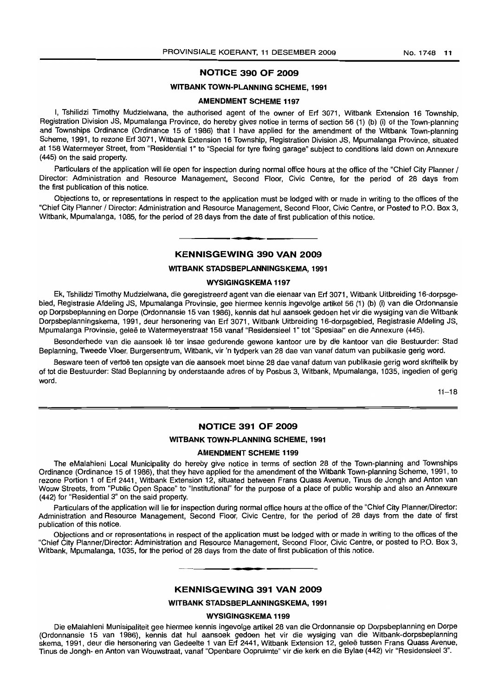#### **NOTICE 390 OF 2009**

#### **WITBANK TOWN-PLANNING SCHEME, 1991**

#### **AMENDMENT SCHEME 1197**

I, Tshilidzi Timothy Mudzielwana, the authorised agent of the owner of Erf 3071, Witbank Extension 16 Township, Registration Division JS, Mpumalanga Province, do hereby gives notice in terms of section 56 (1) (b) (i) of the Town-planning and Townships Ordinance (Ordinance 15 of 1986) that I have applied for the amendment of the Witbank Town-planning Scheme, 1991, to rezone Erf 3071, Witbank Extension 16 Township, Registration Division JS, Mpumalanga Province, situated at 158 Watermeyer Street, from "Residential 1" to "Special for tyre fixing garage" subject to conditions laid down on Annexure (445) on the said property.

Particulars of the application will lie open for inspection during normal office hours at the office of the "Chief City Planner / Director: Administration and Resource Management, Second Floor, Civic Centre, for the period of 28 days from the first publication of this notice.

Objections to, or representations in respect to the application must be lodged with or made in writing to the offices of the "Chief City Planner / Director: Administration and Resource Management, Second Floor, Civic Centre, or Posted to P.O. Box 3, Witbank, Mpumalanga, 1085, for the period of 28 days from the date of first publication of this notice.

### I **• • KENNISGEWING 390 VAN 2009**

#### **WITBANK STADSBEPLANNINGSKEMA, 1991**

#### **WYSIGINGSKEMA 1197**

Ek, Tshilidzi Timothy Mudzielwana, die geregistreerd agent van die eienaar van Erf 3071, Witbank Uitbreiding 16-dorpsgebied, Registrasie Afdeling JS, Mpumalanga Provinsie, gee hiermee kennis ingevolge artikel 56 (1) (b) (i) van die Ordonnansie op Dorpsbeplanning en Dorpe (Ordonnansie 15 van 1986), kennis dat hul aansoek gedoen het vir die wysiging van die Witbank Dorpsbeplanningskema, 1991, deur hersonering van Erf 3071, Witbank Uitbreiding 16-dorpsgebied, Registrasie Afdeling JS, Mpumalanga Provinsie, gelee te Watermeyerstraat 158 vanaf "Residensieel 1" tot "Spesiaal" en die Annexure (445).

Besonderhede van die aansoek lê ter insae gedurende gewone kantoor ure by die kantoor van die Bestuurder: Stad Beplanning, Tweede Vloer, Burgersentrum, Witbank, vir 'n tydperk van 28 dae van vanaf datum van publikasie gerig word.

Besware teen of vertoë ten opsigte van die aansoek moet binne 28 dae vanaf datum van publikasie gerig word skriftelik by of tot die Bestuurder: Stad Beplanning by onderstaande adres of by Posbus 3, Witbank, Mpumalanga, 1035, ingedien of gerig word.

 $11 - 18$ 

#### **NOTICE 391 OF 2009**

#### **WITBANK TOWN-PLANNING SCHEME, 1991**

#### **AMENDMENT SCHEME 1199**

The eMalahleni Local Municipality do hereby give notice in terms of section 28 of the Town-planning and Townships Ordinance (Ordinance 15 of 1986), that they have applied for the amendment of the Witbank Town-planning Scheme, 1991, to rezone Portion 1 of Erf 2441, Witbank Extension 12, situated between Frans Quass Avenue, Tinus de Jongh and Anton van Wouw Streets, from "Public Open Space" to "Institutional" for the purpose of a place of public worship and also an Annexure (442) for "Residential 3" on the said property.

Particulars of the application will lie for inspection during normal office hours at the office of the "Chief City Planner/Director: Administration and Resource Management, Second Floor, Civic Centre, for the period of 28 days from the date of first publication of this notice.

Objections and or representations in respect of the application must be lodged with or made in writing to the offices of the "Chief City Planner/Director: Administration and Resource Management, Second Floor, Civic Centre, or posted to P.O. Box 3, Witbank, Mpumalanga, 1035, for the period of 28 days from the date of first publication of this notice.

#### **KENNISGEWING 391 VAN 2009**

**• I**

#### **WITBANK STADSBEPLANNINGSKEMA, 1991**

#### **WYSIGINGSKEMA 1199**

Die eMalahleni Munisipaliteit gee hiermee kennis ingevolge artikel 28 van die Ordonnansie op Dorpsbeplanning en Dorpe (Ordonnansie 15 van 1986), kennis dat hul aansoek gedoen het vir die wysiging van die Witbank-dorpsbeplanning skema, 1991, deur die hersonering van Gedeelte 1 van Erf 2441, Witbank Extension 12, gelee tussen Frans Quass Avenue, Tinus de Jongh- en Anton van Wouwstraat, vanaf "Openbare Oopruimte" vir die kerk en die Bylae (442) vir "Residensieel 3".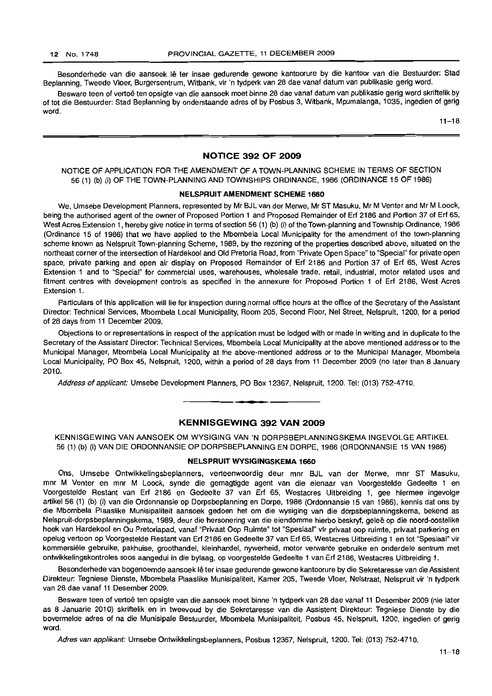Besonderhede van die aansoek lê ter insae gedurende gewone kantoorure by die kantoor van die Bestuurder: Stad Beplanning, Tweede Vloer, Burgersentrum, Witbank, vir 'n tydperk van 28 dae vanaf datum van publikasie gerig word.

Besware teen of vertoë ten opsigte van die aansoek moet binne 28 dae vanaf datum van publikasie gerig word skriftelik by of tot die Bestuurder: Stad Beplanning by onderstaande adres of by Posbus 3, Witbank, Mpumalanga, 1035, ingedien of gerig word.

 $11 - 18$ 

#### **NOTICE 392 OF 2009**

#### NOTICE OF APPLICATION FOR THE AMENDMENT OF A TOWN-PLANNING SCHEME IN TERMS OF SECTION 56 (1) (b) (i) OF THE TOWN-PLANNING AND TOWNSHIPS ORDINANCE, 1986 (ORDINANCE 15 OF 1986)

#### **NELSPRUIT AMENDMENT SCHEME 1660**

We, Umsebe Development Planners, represented by Mr BJL van der Merwe, Mr ST Masuku, Mr M Venter and Mr M Loock, being the authorised agent of the owner of Proposed Portion 1 and Proposed Remainder of Erf 2186 and Portion 37 of Erf 65, West Acres Extension 1, hereby give notice in terms of section 56 (1) (b) (i) of the Town-planning and Township Ordinance, 1986 (Ordinance 15 of 1986) that we have applied to the Mbombela Local Municipality for the amendment of the town-planning scheme known as Nelspruit Town-planning Scheme, 1989, by the rezoning of the properties described above, situated on the northeast corner of the intersection of Hardekool and Old Pretoria Road, from "Private Open Space" to "Special" for private open space, private parking and open air display on Proposed Remainder of Erf 2186 and Portion 37 of Erf 65, West Acres Extension 1 and to "Special" for commercial uses, warehouses, wholesale trade, retail, industrial, motor related uses and fitment centres with development controls as specified in the annexure for Proposed Portion 1 of Erf 2186, West Acres Extension 1.

Particulars of this application will lie for inspection during normal office hours at the office of the Secretary of the Assistant Director: Technical Services, Mbombela Local Municipality, Room 205, Second Floor, Nel Street, Nelspruit, 1200, for a period of 28 days from 11 December 2009.

Objections to or representations in respect of the application must be lodged with or made in writing and in duplicate to the Secretary of the Assistant Director: Technical Services, Mbombela Local Municipality at the above mentioned address or to the Municipal Manager, Mbombela Local Municipality at the above-mentioned address or to the Municipal Manager, Mbombela Local Municipality, PO Box 45, Nelspruit, 1200, within a period of 28 days from 11 December 2009 (no later than 8 January 2010.

Address of applicant: Umsebe Development Planners, PO Box 12367, Nelspruit, 1200. Tel: (013) 752-4710. .**-.**

#### **KENNISGEWING 392 VAN 2009**

KENNISGEWING VAN AANSOEK OM WYSIGING VAN 'N DORPSBEPLANNINGSKEMA INGEVOLGE ARTIKEL 56 (1) (b) (i) VAN DIE ORDONNANSIE OP DORPSBEPLANNING EN DORPE, 1986 (ORDONNANSIE 15 VAN 1986)

#### **NELSPRUIT WYSIGINGSKEMA 1660**

Ons, Umsebe Ontwikkelingsbeplanners, verteenwoordig deur mnr BJL van der Merwe, mnr ST Masuku, mnr M Venter en mnr M Loock, synde die gemagtigde agent van die eienaar van Voorgestelde Gedeelte 1 en Voorgestelde Restant van Erf 2186 en Gedeelte 37 van Erf 65, Westacres Uitbreiding 1, gee hiermee ingevolge artikel 56 (1) (b) (i) van die Ordonnansie op Dorpsbeplanning en Dorpe, 1986 (Ordonnansie 15 van 1986), kennis dat ons by die Mbombela Plaaslike Munisipaliteit aansoek gedoen het om die wysiging van die dorpsbeplanningskema, bekend as Nelspruit-dorpsbeplanningskema, 1989, deur die hersonering van die eiendomme hierbo beskryf, gelee op die noord-oostelike hoek van Hardekool en Ou Pretoriapad, vanaf "Privaat Oop Ruimte" tot "Speslaal" vir privaat oop ruimte, privaat parkering en opelug vertoon op Voorgestelde Restant van Erf 2186 en Gedeelte 37 van Erf 65, Westacres Uitbreiding 1 en tot "Spesiaal" vir kommersiële gebruike, pakhuise, groothandel, kleinhandel, nywerheid, motor verwante gebruike en onderdele sentrum met ontwikkelingskontroles 5005 aangedui in die bylaag, op voorgestelde Gedeelte 1 van Erf 2186, Westacres Uitbreiding 1.

Besonderhede van bogenoemde aansoek Iê ter insae gedurende gewone kantoorure by die Sekretaresse van die Assistent Direkteur: Tegniese Dienste, Mbombela Plaaslike Munisipaliteit, Kamer 205, Tweede Vloer, Nelstraat, Nelspruit vir 'n tydperk van 28 dae vanaf 11 Desember 2009.

Besware teen of vertoë ten opsigte van die aansoek moet binne 'n tydperk van 28 dae vanaf 11 Desember 2009 (nie later as 8 Januarie 2010) skriftelik en in tweevoud by die Sekretaresse van die Assistent Direkteur: Tegniese Dienste by die bovermelde adres of na die Munisipale Bestuurder, Mbombela Munisipaliteit, Posbus 45, Nelspruit, 1200, ingedien of gerig word.

Adres van applikant: Umsebe Ontwikkelingsbeplanners, Posbus 12367, Nelspruit, 1200. Tel: (013) 752-4710.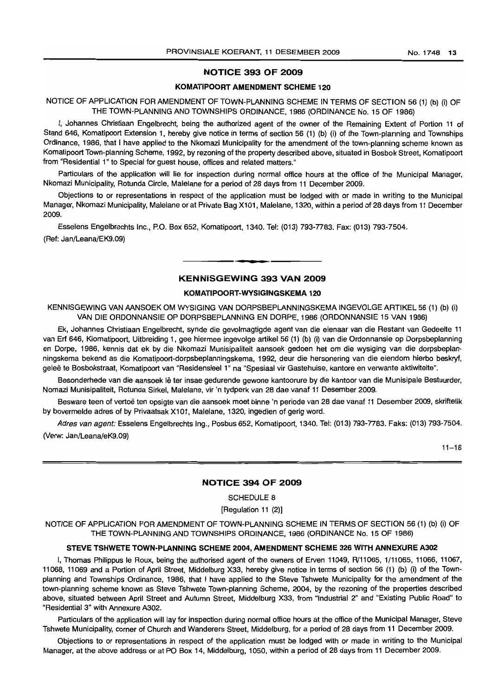#### NOTICE 393 OF 2009

#### KOMATIPOORT AMENDMENT SCHEME 120

NOTICE OF APPLICATION FOR AMENDMENT OF TOWN-PLANNING SCHEME IN TERMS OF SECTION 56 (1) (b) (i) OF THE TOWN-PLANNING AND TOWNSHIPS ORDINANCE, 1986 (ORDINANCE No. 15 OF 1986)

I, Johannes Christiaan Engelbrecht, being the authorized agent of the owner of the Remaining Extent of Portion 11 of Stand 646, Komatipoort Extension 1, hereby give notice in terms of section 56 (1) (b) (i) of the Town-planning and Townships Ordinance, 1986, that I have applied to the Nkomazi Municipality for the amendment of the town-planning scheme known as Komatipoort Town-planning Scheme, 1992, by rezoning of the property described above, situated in Bosbok Street, Komatipoort from "Residential 1" to Special for guest house, offices and related matters."

Particulars of the application will lie for inspection during normal office hours at the office of the Municipal Manager, Nkomazi Municipality, Rotunda Circle, Malelane for a period of 28 days from 11 December 2009.

Objections to or representations in respect of the application must be lodged with or made in writing to the Municipal Manager, Nkomazi Municipality, Malelane or at Private Bag Xl 01, Malelane, 1320, within a period of 28 days from <sup>11</sup> December 2009.

Esselens Engelbrechts Inc., P.O. Box 652, Komatipoort, 1340. Tel: (013) 793-7783. Fax: (013) 793-7504.

(Ref: Jan/Leana/EK9.09)

#### KENNiSGEWiNG 393 VAN 2009

**•**

#### KOMATIPOORT-WVSIGINGSKEMA 120

KENNISGEWING VAN AANSOEK OM WYSIGING VAN DORPSBEPLANNINGSKEMA INGEVOLGE ARTIKEL 56 (1) (b) (i) VAN DIE ORDONNANSIE OP DORPSBEPLANNING EN DORPE, 1986 (ORDONNANSIE 15 VAN 1986)

Ek, Johannes Christiaan Engelbrecht, synde die gevolmagtigde agent van die eienaar van die Restant van Gedeelte 11 van Erf 646, Kiomatipoort, Uitbreiding 1, gee hiermee ingevolge artikel 56 (1) (b) (i) van die Ordonnansie op Dorpsbeplanning en Dorpe, 1986, kennis dat ek by die Nkomazi Munisipaliteit aansoek gedoen het om die wysiging van die dorpsbeplanningskema bekend as die Komatipoort-dorpsbeplanningskema, 1992, deur die hersonering van die eiendom hierbo beskryf, geleë te Bosbokstraat, Komatipoort van "Residensieel 1" na "Spesiaal vir Gastehuise, kantore en verwante aktiwiteite".

Besonderhede van die aansoek lê ter insae gedurende gewone kantoorure by die kantoor van die Munisipale Bestuurder, Nomazi Munisipaliteit, Rotunda Sirkel, Malelane, vir 'n tydperk van 28 dae vanaf 11 Desember 2009.

Besware teen of vertoe ten opsigte van die aansoek moet binne 'n periode van 28 dae vanaf 11 Desember 2009, skriftelik by bovermelde adres of by Privaatsak Xl 01, Malelane, 1320, ingedien of gerig word.

Adres van agent: Esselens Engelbrechts Ing., Posbus 652, Komatipoort, 1340. Tel: (013) 793-7783. Faks: (013) 793-7504. (Verw: Jan/Leana/eK9.09)

 $11 - 18$ 

#### NOTICE 394 OF 2009

SCHEDULE 8

[Regulation 11 (2)]

NOTICE OF APPLICATION FOR AMENDMENT OF TOWN-PLANNING SCHEME IN TERMS OF SECTION 56 (1) (b) (i) OF THE TOWN-PLANNING AND TOWNSHIPS ORDINANCE, 1986 (ORDINANCE No. 15 OF 1986)

#### STEVE TSHWETE TOWN·PLANNING SCHEME 2004, AMENDMENT SCHEME 326 WITH ANNEXURE A302

I, Thomas Philippus Ie Roux, being the authorised agent of the owners of Erven 11049, R/11065, 1/11065, 11066, 11067, 11068, 11069 and a Portion of April Street, Middelburg X33, hereby give notice in terms of section 56 (1) (b) (i) of the Townplanning and Townships Ordinance, 1986, that I have applied to the Steve Tshwete Municipality for the amendment of the town-planning scheme known as Steve Tshwete Town-planning Scheme, 2004, by the rezoning of the properties described above, situated between April Street and Autumn Street, Middelburg X33, from "Industrial 2" and "Existing Public Road" to "Residential 3" with Annexure A302.

Particulars of the application will lay for inspection during normal office hours at the office of the Municipal Manager, Steve Tshwete Municipality, corner of Church and Wanderers Street, Middelburg, for a period of 28 days from 11 December 2009.

Objections to or representations in respect of the application must be lodged with or made in writing to the Municipal Manager, at the above address or at PO Box 14, Middelburg, 1050, within a period of 28 days from 11 December 2009.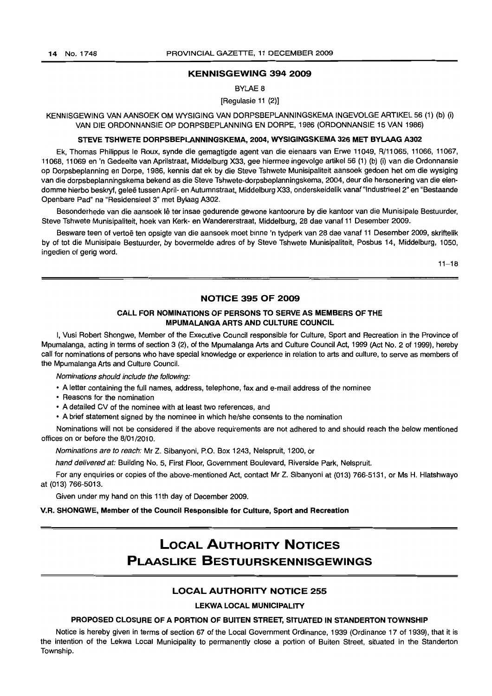#### KENNISGEWING 394 2009

BYLAE 8

[Regulasie 11 (2)]

KENNISGEWING VAN AANSOEK OM WYSIGING VAN DORPSBEPLANNINGSKEMA INGEVOLGE ARTIKEL 56 (1) (b) (i) VAN DIE ORDONNANSIE OP DORPSBEPLANNING EN DORPE, 1986 (ORDONNANSIE 15 VAN 1986)

#### STEVE TSHWETE DORPSBEPLANNINGSKEMA, 2004, WYSIGINGSKEMA 326 MET BYLAAG A302

Ek, Thomas Philippus Ie Roux, synde die gemagtigde agent van die eienaars van Erwe 11049, R/11 065, 11066, 11067, 11068, 11069 en 'n Gedeelte van Aprilstraat, Middelburg X33, gee hiermee ingevolge artikel 56 (1) (b) (i) van die Ordonnansie op Dorpsbeplanning en Dorpe, 1986, kennis dat ek by die Steve Tshwete Munisipaliteit aansoek gedoen het om die wysiging van die dorpsbeplanningskema bekend as die Steve Tshwete-dorpsbeplanningskema, 2004, deur die hersonering van die eiendomme hierbo beskryf, qelee tussen April- en Autumnstraat, Middelburg X33, onderskeidelik vanaf "Industrieel 2" en "Bestaande Openbare Pad" na "Residensieel 3" met Bylaag A302.

Besonderhede van die aansoek lê ter insae gedurende gewone kantoorure by die kantoor van die Munisipale Bestuurder, Steve Tshwete Munisipaliteit, hoek van Kerk- en Wandererstraat, Middelburg, 28 dae vanaf 11 Desember 2009.

Besware teen of vertoë ten opsigte van die aansoek moet binne 'n tydperk van 28 dae vanaf 11 Desember 2009, skriftelik by of tot die Munisipale Bestuurder, by bovermelde adres of by Steve Tshwete Munisipaliteit, Posbus 14, Middelburg, 1050, ingedien of gerig word.

 $11 - 18$ 

#### NOTICE 395 OF 2009

#### CALL FOR NOMINATIONS OF PERSONS TO SERVE AS MEMBERS OF THE MPUMALANGA ARTS AND CULTURE COUNCIL

I, Vusi Robert Shongwe, Member of the Executive Council responsible for Culture, Sport and Recreation in the Province of Mpumalanga, acting in terms of section 3 (2), of the Mpumalanga Arts and Culture Council Act, 1999 (Act No.2 of 1999), hereby call for nominations of persons who have special knowledge or experience in relation to arts and culture, to serve as members of the Mpumalanga Arts and Culture Council.

Nominations should include the following:

- A letter containing the full names, address, telephone, fax and e-mail address of the nominee
- Reasons for the nomination
- A detailed CV of the nominee with at least two references, and
- A brief statement signed by the nominee in which he/she consents to the nomination

Nominations will not be considered if the above requirements are not adhered to and should reach the below mentioned offices on or before the 8/01/2010.

Nominations are to reach: Mr Z. Sibanyoni, P.O. Box 1243, Nelspruit, 1200, or

hand delivered at: Building No. 5, First Floor, Government Boulevard, Riverside Park, Nelspruit.

For any enquiries or copies of the above-mentioned Act, contact Mr Z. Sibanyoni at (013) 766-5131, or Ms H. Hlatshwayo at (013) 766-5013.

Given under my hand on this 11th day of December 2009.

#### V.R. SHONGWE, Member of the Council Responsible for Culture, Sport and Recreation

# **LOCAL AUTHORITY NOTICES PLAASLIKE BESTUURSKENNISGEWINGS**

#### LOCAL AUTHORITY NOTICE 255

#### LEKWA LOCAL MUNICIPALITY

#### PROPOSED CLOSURE OF A PORTION OF BUITEN STREET, SITUATED IN STANDERTON TOWNSHIP

Notice is hereby given in terms of section 67 of the Local Government Ordinance, 1939 (Ordinance 17 of 1939), that it is the intention of the Lekwa Local Municipality to permanently close a portion of Buiten Street, situated in the Standerton Township.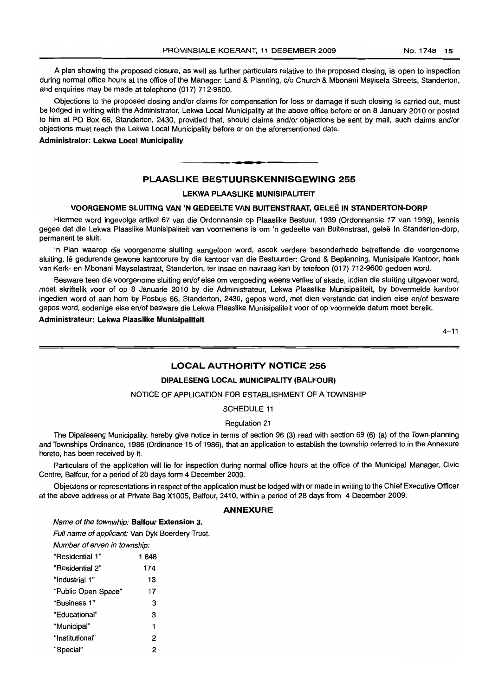A plan showing the proposed closure, as well as further particulars relative to the proposed closing, is open to inspection during normal office hours at the office of the Manager: Land & Planning, c/o Church & Mbonani Mayisela Streets, Standerton, and enquiries may be made at telephone (017) 712-9600.

Objections to the proposed closing and/or claims for compensation for loss or damage if such closing is carried out, must be lodged in writing with the Administrator, Lekwa Local Municipality at the above office before or on 8 January 2010 or posted to him at PO Box 66, Standerton, 2430, provided that, should claims and/or objections be sent by mail, such claims and/or objections must reach the Lekwa Local Municipality before or on the aforementioned date.

**Administrator: Lekwa Local Municipality**

#### **PLAASLIKE BESTUURSKENNISGEWING 255**

**• F**

#### **LEKWA PLAASLIKE MUNISIPALITEIT**

#### **VOORGENOME SLUITING VAN 'N GEDEELTE VAN BUITENSTRAAT, GELEE:IN STANDERTON-DORP**

Hiermee word ingevolge artikel 67 van die Ordonnansie op Plaaslike Bestuur, 1939 (Ordonnansie 17 van 1939), kennis gegee dat die Lekwa Plaaslike Munisipaliteit van voornemens is om 'n gedeelte van Buitenstraat, geleë in Standerton-dorp, permanent te sluit.

'n Plan waarop die voorgenome sluiting aangetoon word, asook verdere besonderhede betreffende die voorgenome sluiting, Ie gedurende gewone kantoorure by die kantoor van die Bestuurder: Grond & Beplanning, Munisipale Kantoor, hoek van Kerk- en Mbonani Mayselastraat, Standerton, ter insae en navraag kan by telefoon (017) 712-9600 gedoen word.

Besware teen die voorgenome sluiting en/of eise om vergoeding weens verlies of skade, indien die sluiting uitgevoer word, moet skriftelik voor of op 8 Januarie 2010 by die Administrateur, Lekwa Plaaslike Munisipaliteit, by bovermelde kantoor ingedien word of aan hom by Posbus 66, Standerton, 2430, gepos word, met dien verstande dat indien eise en/of besware gepos word, sodanige eise en/of besware die Lekwa Plaaslike Munisipaliteit voor of op voormelde datum moet bereik.

**Administrateur: Lekwa Plaaslike Munisipaliteit**

 $4 - 11$ 

#### **LOCAL AUTHORITY NOTICE 256**

#### **DIPALESENG LOCAL MUNICIPALITY (BALFOUR)**

#### NOTICE OF APPLICATION FOR ESTABLISHMENT OF A TOWNSHIP

SCHEDULE 11

#### Regulation 21

The Dipaleseng Municipality, hereby give notice in terms of section 96 (3) read with section 69 (6) (a) of the Town-planning and Townships Ordinance, 1986 (Ordinance 15 of 1986), that an application to establish the township referred to in the Annexure hereto, has been received by it.

Particulars of the application will lie for inspection during normal office hours at the office of the Municipal Manager, Civic Centre, Balfour, for a period of 28 days form 4 December 2009.

Objections or representations in respect of the application must be lodged with or made in writing to the Chief Executive Officer at the above address or at Private Bag X1005, Balfour, 2410, within a period of 28 days from 4 December 2009.

#### **ANNEXURE**

Name of the townwhip: **Balfour Extension** 3.

Full name of applicant: Van Dyk Boerdery Trust.

Number of erven in township:

| "Residential 1"     | 1848 |
|---------------------|------|
| "Residential 2"     | 174  |
| "Industrial 1"      | 13   |
| "Public Open Space" | 17   |
| "Business 1"        | 3    |
| "Educational"       | 3    |
| "Municipal"         | 1    |
| "Institutional"     | 2    |
| "Special"           | 2    |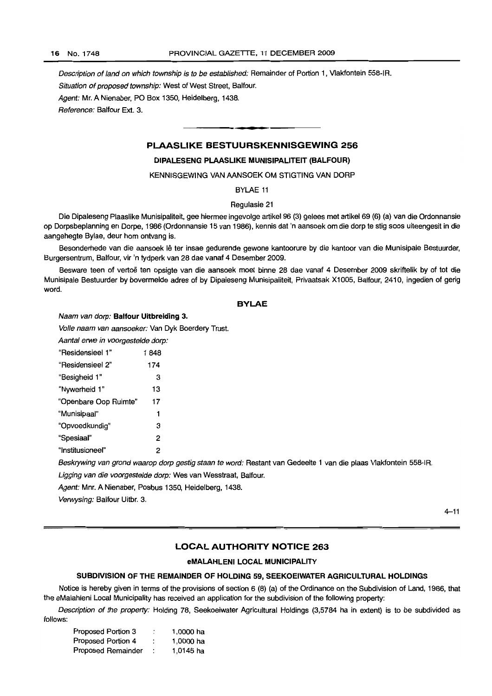Description of land on which township is to be established: Remainder of Portion 1, Vlakfontein 558-IR.

Situation of proposed township: West of West Street, Balfour.

Agent: Mr. A Nienaber, PO Box 1350, Heidelberg, 1438.

Reference: Balfour Ext. 3.

#### **PLAASLIKE BESTUURSKENNISGEWING 256**

**E.**

#### **DIPALESENG PLAASLIKE MUNISIPALITEIT (BALFOUR)**

KENNISGEWING VAN AANSOEK OM STIGTING VAN DORP

BYLAE 11

#### Regulasie 21

Die Dipaleseng Plaaslike Munisipaliteit, gee hiermee ingevolge artikel 96 (3) gelees met artikel 69 (6) (a) van die Ordonnansie op Dorpsbeplanning en Dorpe, 1986 (Ordonnansie 15 van 1986), kennis dat 'n aansoek om die dorp te stig soos uiteengesit in die aangehegte Bylae, deur hom ontvang is.

Besonderhede van die aansoek lê ter insae gedurende gewone kantoorure by die kantoor van die Munisipale Bestuurder, Burgersentrum, Balfour, vir 'n tydperk van 28 dae vanaf 4 Desember 2009.

Besware teen of vertoë ten opsigte van die aansoek moet binne 28 dae vanaf 4 Desember 2009 skriftelik by of tot die Munisipale Bestuurder by bovermelde adres of by Dipaieseng Munisipaiiteit, Privaatsak Xi 005, Balfour, 2410, ingedien of gerig word.

#### **BYLAE**

Naam van dorp: **Balfour Uitbreiding** 3.

Volle naam van aansoeker: Van Dyk Boerdery Trust.

Aantal erwe in voorgestelde dorp:

| "Residensieel 1"      | 1848 |
|-----------------------|------|
| "Residensieel 2"      | 174  |
| "Besigheid 1"         | 3    |
| "Nywerheid 1"         | 13   |
| "Openbare Oop Ruimte" | 17   |
| "Munisipaal"          | 1    |
| "Opvoedkundig"        | 3    |
| "Spesiaal"            | 2    |
| "Institusioneel"      | 2    |

Beskrywing van grond waarop dorp gestig staan te word: Restant van Gedeelte 1 van die plaas Vlakfontein 558-IR. Ligging van die voorgestelde dorp: Wes van Wesstraat, Balfour.

Agent: Mm. A Nienaber, Posbus 1350, Heidelberg, 1438.

Verwysing: Balfour Uitbr. 3.

 $4 - 11$ 

#### **LOCAL AUTHORITY NOTICE 263**

#### **eMALAHLENI LOCAL MUNICIPALITY**

#### **SUBDIVISION OF THE REMAINDER OF HOLDING** 59, **SEEKOEIWATER AGRICULTURAL HOLDINGS**

Notice is hereby given in terms of the provisions of section 6 (8) (a) of the Ordinance on the Subdivision of Land, 1986, that the eMalahleni Local Municipality has received an application for the subdivision of the following property:

Description of the property: Holding 78, Seekoeiwater Agricultural Holdings (3,5784 ha in extent) is to be subdivided as follows:

| Proposed Portion 3 | : | 1,0000 ha |
|--------------------|---|-----------|
| Proposed Portion 4 |   | 1,0000 ha |
| Proposed Remainder |   | 1,0145 ha |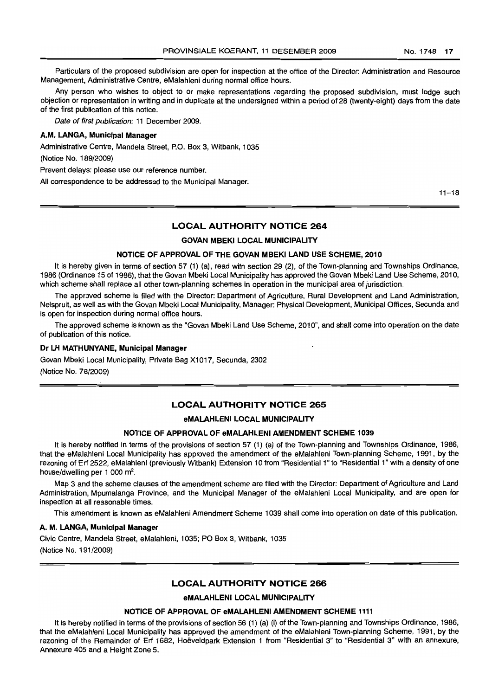Particulars of the proposed subdivision are open for inspection at the office of the Director: Administration and Resource Management, Administrative Centre, eMalahleni during normal office hours.

Any person who wishes to object to or make representations regarding the proposed subdivision, must lodge such objection or representation in writing and in duplicate at the undersigned within a period of 28 (twenty-eight) days from the date of the first publication of this notice.

Date of first publication: <sup>11</sup> December 2009.

#### A.M. LANGA, Municipal Manager

Administrative Centre, Mandela Street, P.O. Box 3, Witbank, 1035

(Notice No. 189/2009)

Prevent delays: please use our reference number.

All correspondence to be addressed to the Municipal Manager.

 $11 - 18$ 

#### LOCAL AUTHORITY NOTICE 264

#### GOVAN MBEKI LOCAL MUNICIPALITY

#### NOTICE OF APPROVAL OF THE GOVAN MBEKI LAND USE SCHEME, 2010

It is hereby given in terms of section 57 (1) (a), read with section 29 (2), of the Town-planning and Townships Ordinance, 1986 (Ordinance 15 of 1986), that the Govan Mbeki Local Municipality has approved the Govan Mbeki Land Use Scheme, 2010, which scheme shall replace all other town-planning schemes in operation in the municipal area of jurisdiction.

The approved scheme is filed with the Director: Department of Agriculture, Rural Development and Land Administration, Nelspruit, as well as with the Govan Mbeki Local Municipality, Manager: Physical Development, Municipal Offices, Secunda and is open for inspection during normal office hours.

The approved scheme is known as the "Govan Mbeki Land Use Scheme, 2010", and shall come into operation on the date of publication of this notice.

#### Dr LH MATHUNVANE, Municipal Manager

Govan Mbeki Local Municipality, Private Bag X1017, Secunda, 2302

(Notice No. 78/2009)

#### LOCAL AUTHORITY NOTICE 265

#### eMALAHLENI LOCAL MUNICIPALITY

#### NOTICE OF APPROVAL OF eMALAHLENI AMENDMENT SCHEME 1039

It is hereby notified in terms of the provisions of section 57 (1) (a) of the Town-planning and Townships Ordinance, 1986, that the eMalahleni Local Municipality has approved the amendment of the eMalahleni Town-planning Scheme, 1991, by the rezoning of Erf 2522, eMalahleni (previously Witbank) Extension 10 from "Residential 1" to "Residential 1" with a density of one house/dwelling per 1 000 m<sup>2</sup>.

Map 3 and the scheme clauses of the amendment scheme are filed with the Director: Department of Agriculture and Land Administration, Mpumalanga Province, and the Municipal Manager of the eMalahleni Local Municipality, and are open for inspection at all reasonable times.

This amendment is known as eMalahleni Amendment Scheme 1039 shall come into operation on date of this publication.

#### A. M. LANGA, Municipal Manager

Civic Centre, Mandela Street, eMalahleni, 1035; PO Box 3, Witbank, 1035 (Notice No. 191/2009)

#### LOCAL AUTHORITY NOTICE 266

eMALAHLENI LOCAL MUNICIPALITY

#### NOTICE OF APPROVAL OF eMALAHLENI AMENDMENT SCHEME 1111

It is hereby notified in terms of the provisions of section 56 (1) (a) (i) of the Town-planning and Townships Ordinance, 1986, that the eMalahleni Local Municipality has approved the amendment of the eMalahleni Town-planning Scheme, 1991, by the rezoning of the Remainder of Erf 1682, Hoeveldpark Extension 1 from "Residential 3" to "Residential 3" with an annexure, Annexure 405 and a Height Zone 5.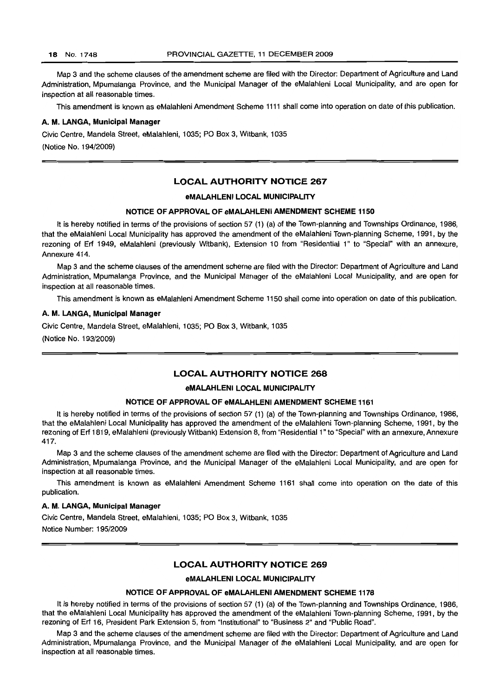Map 3 and the scheme clauses of the amendment scheme are filed with the Director: Department of Agriculture and Land Administration, Mpumalanga Province, and the Municipal Manager of the eMalahleni Local Municipality, and are open for inspection at all reasonable times.

This amendment is known as eMalahleni Amendment Scheme 1111 shall come into operation on date of this publication.

#### A. M. LANGA, Municipal Manager

Civic Centre, Mandela Street, eMalahleni, 1035; PO Box 3, Witbank, 1035 (Notice No. 194/2009)

#### LOCAL AUTHORITY NOTICE 267

#### eMALAHLENI LOCAL MUNICIPALITY

#### NOTICE OF APPROVAL OF eMALAHLENI AMENDMENT SCHEME 1150

It is hereby notified in terms of the provisions of section 57 (1) (a) of the Town-planning and Townships Ordinance, 1986, that the eMalahleni Local Municipality has approved the amendment of the eMalahleni Town-planning Scheme, 1991, by the rezoning of Erf 1949, eMalahleni (previously Witbank), Extension 10 from "Residential 1" to "Special" with an annexure, Annexure 414.

Map 3 and the scheme clauses of the amendment scheme are filed with the Director: Department of Agriculture and Land Administration, Mpumalanga Province, and the Municipal Manager of the eMalahleni Local Municipality, and are open for inspection at all reasonable times.

This amendment is known as eMalahleni Amendment Scheme 1150 shall come into operation on date of this publication.

#### A. M. LANGA, Municipal Manager

Civic Centre, Mandela Street, eMalahleni, 1035; PO Box 3, Witbank, 1035 (Notice No. 193/2009)

#### LOCAL AUTHORITY NOTICE 268

#### eMALAHLENI LOCAL MUNICIPALITY

#### NOTICE OF APPROVAL OF eMALAHLENI AMENDMENT SCHEME 1161

It is hereby notified in terms of the provisions of section 57 (1) (a) of the Town-planning and Townships Ordinance, 1986, that the eMalahleni Local Municipality has approved the amendment of the eMalahleni Town-planning Scheme, 1991, by the rezoning of Erf 1819, eMalahleni (previously Witbank) Extension 8, from "Residential 1" to "Special" with an annexure, Annexure 417.

Map 3 and the scheme clauses of the amendment scheme are filed with the Director: Department of Agriculture and Land Administration, Mpumalanga Province, and the Municipal Manager of the eMalahleni Local Municipality, and are open for inspection at all reasonable times.

This amendment is known as eMalahleni Amendment Scheme 1161 shall come into operation on the date of this publication.

#### A. M. LANGA, Municipal Manager

Civic Centre, Mandela Street, eMalahleni, 1035; PO Box 3, Witbank, 1035

Notice Number: 195/2009

#### LOCAL AUTHORITY NOTICE 269

#### eMALAHLENI LOCAL MUNICIPALITY

#### NOTICE OF APPROVAL OF eMALAHLENI AMENDMENT SCHEME 1178

It is hereby notified in terms of the provisions of section 57 (1) (a) of the Town-planning and Townships Ordinance, 1986, that the eMalahleni Local Municipality has approved the amendment of the eMalahleni Town-planning Scheme, 1991, by the rezoning of Erf 16, President Park Extension 5, from "Institutional" to "Business 2" and "Public Road".

Map 3 and the scheme clauses of the amendment scheme are filed with the Director: Department of Agriculture and Land Administration, Mpumalanga Province, and the Municipal Manager of the eMalahleni Local Municipality, and are open for inspection at all reasonable times.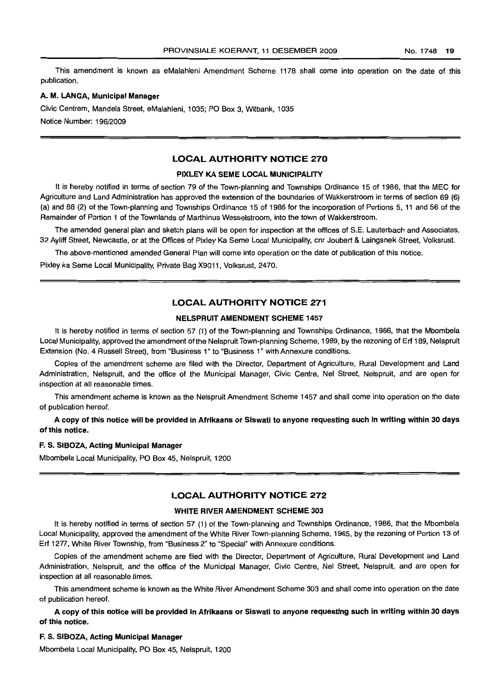This amendment is known as eMalahleni Amendment Scheme 1178 shall come into operation on the date of this publication.

#### A. M. LANGA; Municipal Manager

Civic Centrem, Mandela Street, eMalahleni, 1035; PO Box 3, Witbank, 1035 Notice Number: 196/2009

#### LOCAL AUTHORITY NOTICE 270

#### PIXLEY KA SEME LOCAL MUNICIPALITY

It is hereby notified in terms of section 79 of the Town-planning and Townships Ordinance 15 of 1986, that the MEC for Agriculture and Land Administration has approved the extension of the boundaries of Wakkerstroom in terms of section 69 (6) (a) and 86 (2) of the Town-planning and Townships Ordinance 15 of 1986 for the incorporation of Portions 5, 11 and 56 of the Remainder of Portion 1 of the Townlands of Marthinus Wesselstroom, into the town of Wakkerstroom.

The amended general plan and sketch plans will be open for inspection at the offices of S.E. Lauterbach and Associates, 32 Ayliff Street, Newcastle, or at the Offices of Pixley Ka Seme Local Municipality, cnr Joubert & Laingsnek Street, Volksrust.

The above-mentioned amended General Plan will come into operation on the date of publication of this notice.

Pixley ka Seme Local Municipality, Private Bag X9011, Volksrust, 2470.

#### LOCAL AUTHORITY NOTICE 271

#### NELSPRUIT AMENDMENT SCHEME 1457

It is hereby notified in terms of section 57 (1) of the Town-planning and Townships Ordinance, 1986, that the Mbombela Local Municipality, approved the amendment of the Nelspruit Town-planning Scheme, 1989, by the rezoning of Erf 189, Nelspruit Extension (No.4 Russell Street), from "Business 1" to "Business 1" with Annexure conditions.

Copies of the amendment scheme are filed with the Director, Department of Agriculture, Rural Development and Land Administration, Nelspruit, and the office of the Municipal Manager, Civic Centre, Nef Street, Nelspruit, and are open for inspection at all reasonable times.

This amendment scheme is known as the Nelspruit Amendment Scheme 1457 and shall come into operation on the date of publication hereof.

A copy of this notice will be provided in Afrikaans or Siswati to anyone requesting such in writing within 30 days of this notice.

#### F. S. SIBOZA, Acting Municipal Manager

Mbombela Local Municipality, PO Box 45, Nelspruit, 1200

### LOCAL AUTHORITY NOTICE 272

#### WHITE RIVER AMENDMENT SCHEME 303

It is hereby notified in terms of section 57 (1) of the Town-planning and Townships Ordinance, 1986, that the Mbombela Local Municipality, approved the amendment of the White River Town-planning Scheme, 1985, by the rezoning of Portion 13 of Erf 1277, White River Township, from "Business 2" to "Special" with Annexure conditions.

Copies of the amendment scheme are filed with the Director, Department of Agriculture, Rural Development and Land Administration, Nelspruit, and the office of the Municipal Manager, Civic Centre, Nel Street, Nelspruit, and are open for inspection at all reasonable times.

This amendment scheme is known as the White River Amendment Scheme 303 and shall come into operation on the date of publication hereof.

A copy of this notice will be provided in Afrikaans or Siswati to anyone requesting such in writing within 30 days of this notice.

#### F. S. SIBOZA, Acting Municipal Manager

Mbombela Local Municipality, PO Box 45, Nelspruit, 1200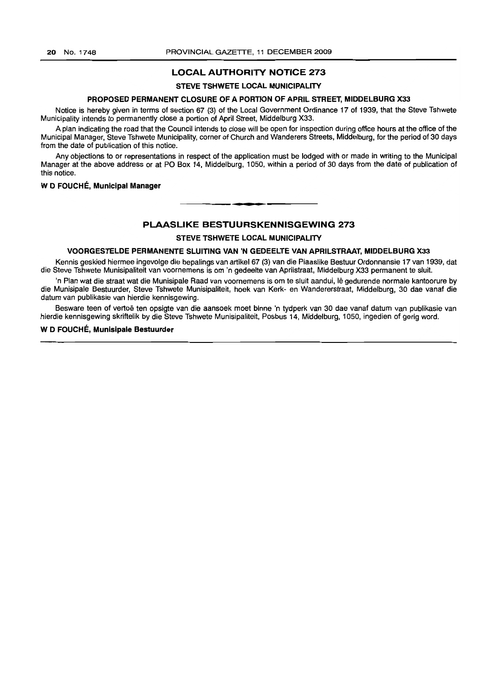#### **LOCAL AUTHORITY NOTICE 273**

#### **STEVE TSHWETE LOCAL MUNICIPALITY**

#### **PROPOSED PERMANENT CLOSURE OF A PORTION OF APRIL STREET, MIDDELBURG X33**

Notice is hereby given in terms of section 67 (3) of the Local Government Ordinance 17 of 1939, that the Steve Tshwete Municipality intends to permanently close a portion of April Street, Middelburg X33.

A plan indicating the road that the Council intends to close will be open for inspection during office hours at the office of the Municipal Manager, Steve Tshwete Municipality, corner of Church and Wanderers Streets, Middelburg, for the period of 30 days from the date of publication of this notice.

Any objections to or representations in respect of the application must be lodged with or made in writing to the Municipal Manager at the above address or at PO Box 14, Middelburg, 1050, within a period of 30 days from the date of publication of this notice.

#### W **D FOUCHE, Municipal Manager**

#### **PLAASLIKE BESTUURSKENNISGEWING 273**

I **• E**

**STEVE TSHWETE LOCAL MUNICIPALITY**

#### **VOORGESTELDE PERMANENTE SLUITING VAN 'N GEDEELTE VAN APRILSTRAAT, MIDDELBURG X33**

Kennis geskied hiermee ingevolge die bepalings van artikel 67 (3) van die Plaaslike Bestuur Ordonnansie 17 van 1939, dat die Steve Tshwete Munisipaliteit van voornemens is om 'n gedeelte van Aprilstraat, Middelburg X33 permanent te sluit.

'n Plan wat die straat wat die Munisipale Raad van voornemens is om te sluit aandui, lê gedurende normale kantoorure by die Munisipale Bestuurder, Steve Tshwete Munisipaliteit, hoek van Kerk- en Wandererstraat, Middelburg, 30 dae vanaf die datum van publikasie van hierdie kennisgewing.

Besware teen of vertoe ten opsigte van die aansoek moet binne 'n tydperk van 30 dae vanaf datum van publikasie van hierdie kennisgewing skriftelik by die Steve Tshwete Munisipaliteit, Posbus 14, Middelburg, 1050, ingedien of gerig word.

#### W **D FOUCHE, Munisipale Bestuurder**